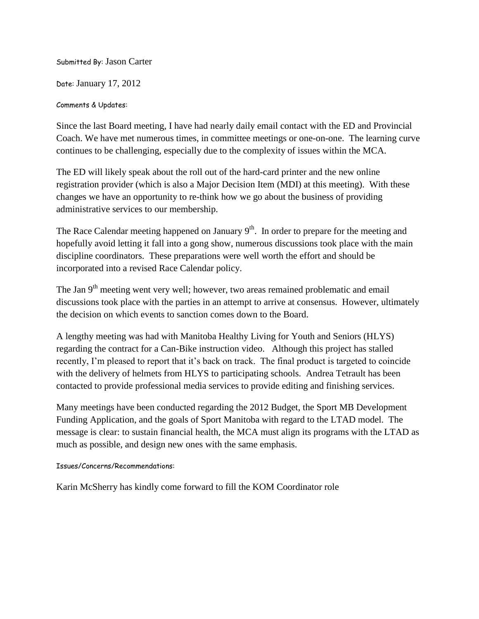Submitted By: Jason Carter

Date: January 17, 2012

Comments & Updates:

Since the last Board meeting, I have had nearly daily email contact with the ED and Provincial Coach. We have met numerous times, in committee meetings or one-on-one. The learning curve continues to be challenging, especially due to the complexity of issues within the MCA.

The ED will likely speak about the roll out of the hard-card printer and the new online registration provider (which is also a Major Decision Item (MDI) at this meeting). With these changes we have an opportunity to re-think how we go about the business of providing administrative services to our membership.

The Race Calendar meeting happened on January  $9<sup>th</sup>$ . In order to prepare for the meeting and hopefully avoid letting it fall into a gong show, numerous discussions took place with the main discipline coordinators. These preparations were well worth the effort and should be incorporated into a revised Race Calendar policy.

The Jan 9<sup>th</sup> meeting went very well; however, two areas remained problematic and email discussions took place with the parties in an attempt to arrive at consensus. However, ultimately the decision on which events to sanction comes down to the Board.

A lengthy meeting was had with Manitoba Healthy Living for Youth and Seniors (HLYS) regarding the contract for a Can-Bike instruction video. Although this project has stalled recently, I'm pleased to report that it's back on track. The final product is targeted to coincide with the delivery of helmets from HLYS to participating schools. Andrea Tetrault has been contacted to provide professional media services to provide editing and finishing services.

Many meetings have been conducted regarding the 2012 Budget, the Sport MB Development Funding Application, and the goals of Sport Manitoba with regard to the LTAD model. The message is clear: to sustain financial health, the MCA must align its programs with the LTAD as much as possible, and design new ones with the same emphasis.

Issues/Concerns/Recommendations:

Karin McSherry has kindly come forward to fill the KOM Coordinator role